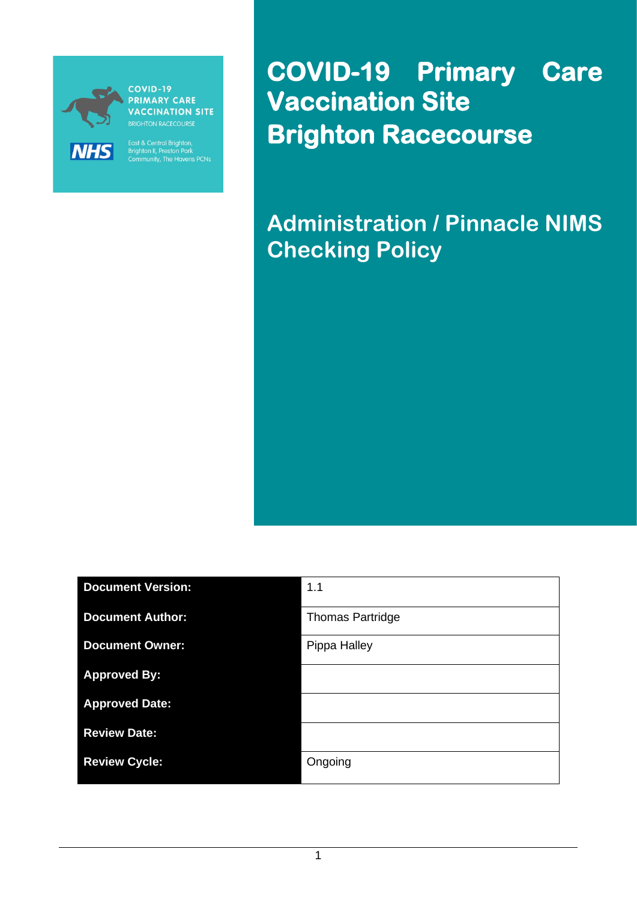

**PRIMARY CARE VACCINATION SITE** 

East & Central Brighton,<br>Brighton II, Preston Park<br>Community, The Havens PCNs

**COVID-19 Primary Care Vaccination Site Brighton Racecourse** 

**Administration / Pinnacle NIMS Checking Policy**

| <b>Document Version:</b> | 1.1                     |
|--------------------------|-------------------------|
| <b>Document Author:</b>  | <b>Thomas Partridge</b> |
| <b>Document Owner:</b>   | Pippa Halley            |
| <b>Approved By:</b>      |                         |
| <b>Approved Date:</b>    |                         |
| <b>Review Date:</b>      |                         |
| <b>Review Cycle:</b>     | Ongoing                 |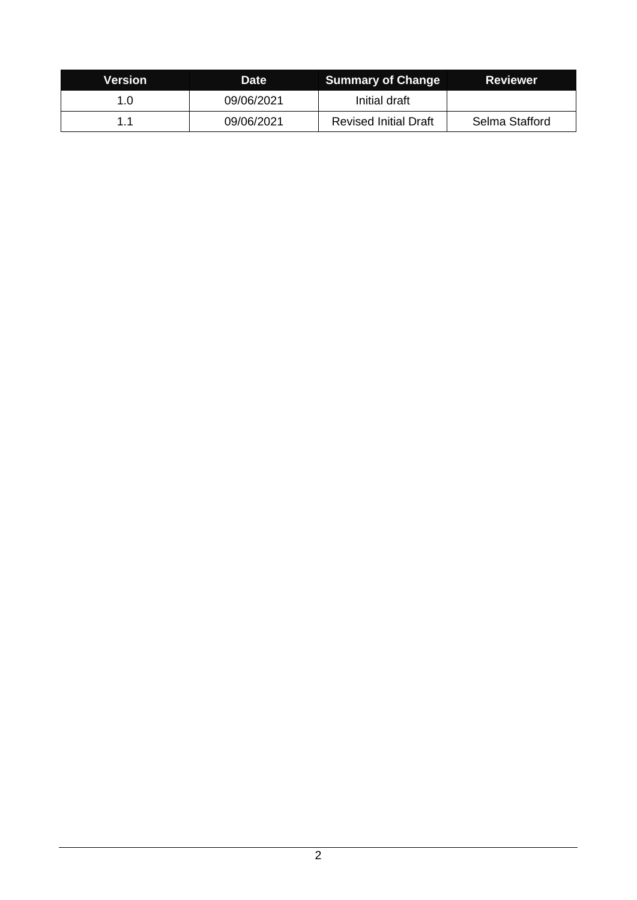| Version | <b>Date</b> | <b>Summary of Change</b>     | <b>Reviewer</b> |
|---------|-------------|------------------------------|-----------------|
| 1.0     | 09/06/2021  | Initial draft                |                 |
| 11      | 09/06/2021  | <b>Revised Initial Draft</b> | Selma Stafford  |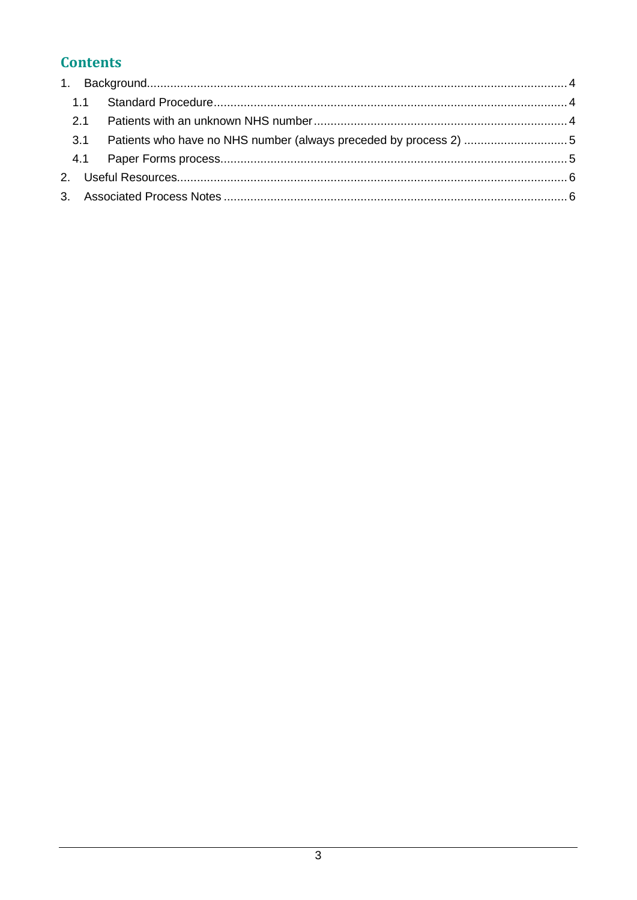# **Contents**

| 3.1 |  |
|-----|--|
|     |  |
|     |  |
|     |  |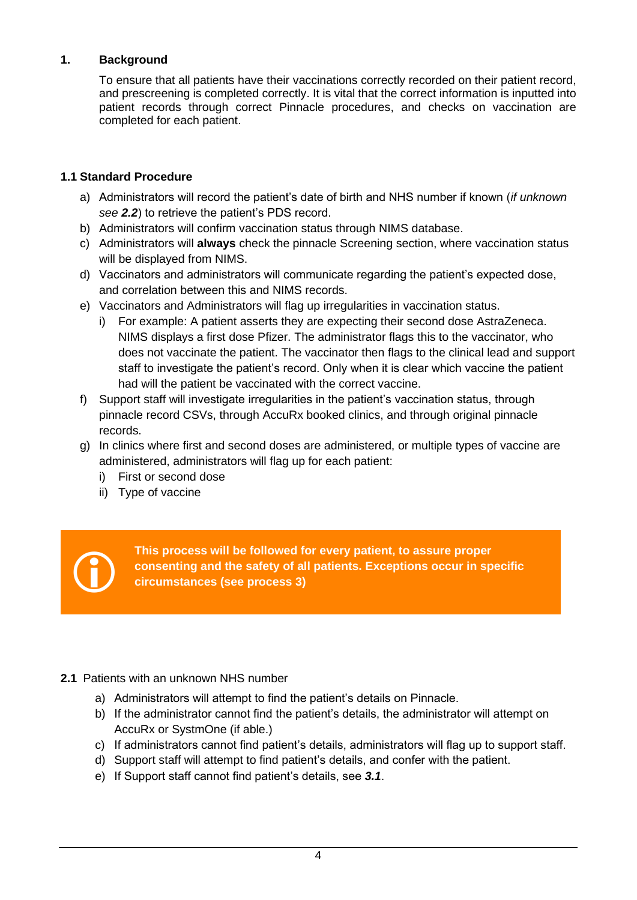### <span id="page-3-0"></span>**1. Background**

To ensure that all patients have their vaccinations correctly recorded on their patient record, and prescreening is completed correctly. It is vital that the correct information is inputted into patient records through correct Pinnacle procedures, and checks on vaccination are completed for each patient.

#### <span id="page-3-1"></span>**1.1 Standard Procedure**

- a) Administrators will record the patient's date of birth and NHS number if known (*if unknown see 2.2*) to retrieve the patient's PDS record.
- b) Administrators will confirm vaccination status through NIMS database.
- c) Administrators will **always** check the pinnacle Screening section, where vaccination status will be displayed from NIMS.
- d) Vaccinators and administrators will communicate regarding the patient's expected dose, and correlation between this and NIMS records.
- e) Vaccinators and Administrators will flag up irregularities in vaccination status.
	- i) For example: A patient asserts they are expecting their second dose AstraZeneca. NIMS displays a first dose Pfizer. The administrator flags this to the vaccinator, who does not vaccinate the patient. The vaccinator then flags to the clinical lead and support staff to investigate the patient's record. Only when it is clear which vaccine the patient had will the patient be vaccinated with the correct vaccine.
- f) Support staff will investigate irregularities in the patient's vaccination status, through pinnacle record CSVs, through AccuRx booked clinics, and through original pinnacle records.
- g) In clinics where first and second doses are administered, or multiple types of vaccine are administered, administrators will flag up for each patient:
	- i) First or second dose
	- ii) Type of vaccine



**This process will be followed for every patient, to assure proper consenting and the safety of all patients. Exceptions occur in specific circumstances (see process 3)**

# <span id="page-3-2"></span>**2.1** Patients with an unknown NHS number

- a) Administrators will attempt to find the patient's details on Pinnacle.
- b) If the administrator cannot find the patient's details, the administrator will attempt on AccuRx or SystmOne (if able.)
- c) If administrators cannot find patient's details, administrators will flag up to support staff.
- d) Support staff will attempt to find patient's details, and confer with the patient.
- e) If Support staff cannot find patient's details, see *3.1*.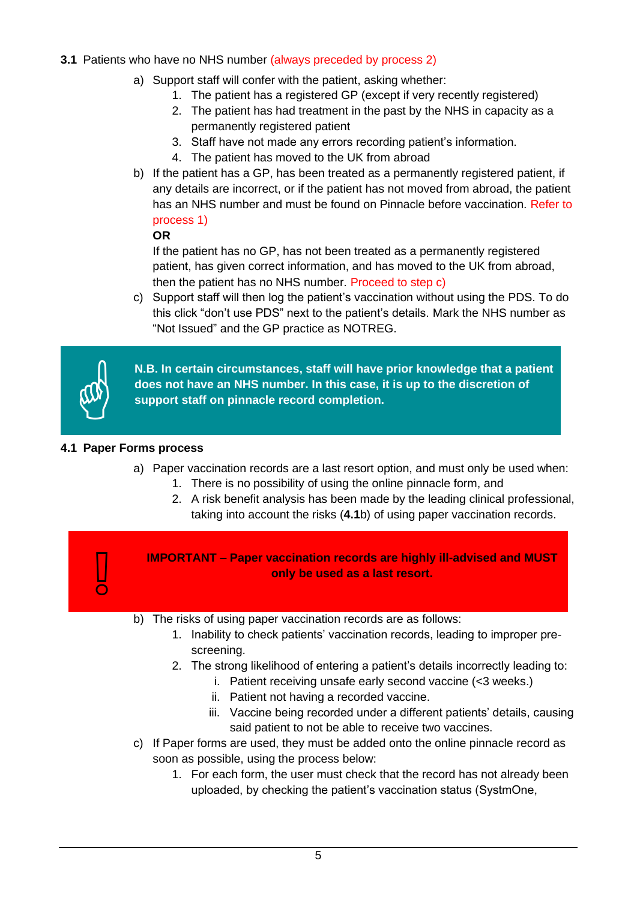# <span id="page-4-0"></span>**3.1** Patients who have no NHS number (always preceded by process 2)

- a) Support staff will confer with the patient, asking whether:
	- 1. The patient has a registered GP (except if very recently registered)
	- 2. The patient has had treatment in the past by the NHS in capacity as a permanently registered patient
	- 3. Staff have not made any errors recording patient's information.
	- 4. The patient has moved to the UK from abroad
- b) If the patient has a GP, has been treated as a permanently registered patient, if any details are incorrect, or if the patient has not moved from abroad, the patient has an NHS number and must be found on Pinnacle before vaccination. Refer to process 1)

#### **OR**

If the patient has no GP, has not been treated as a permanently registered patient, has given correct information, and has moved to the UK from abroad, then the patient has no NHS number. Proceed to step c)

c) Support staff will then log the patient's vaccination without using the PDS. To do this click "don't use PDS" next to the patient's details. Mark the NHS number as "Not Issued" and the GP practice as NOTREG.



 $\sqrt{2}$ 

**N.B. In certain circumstances, staff will have prior knowledge that a patient does not have an NHS number. In this case, it is up to the discretion of support staff on pinnacle record completion.**

## <span id="page-4-1"></span>**4.1 Paper Forms process**

- a) Paper vaccination records are a last resort option, and must only be used when:
	- 1. There is no possibility of using the online pinnacle form, and
	- 2. A risk benefit analysis has been made by the leading clinical professional, taking into account the risks (**4.1**b) of using paper vaccination records.

**IMPORTANT – Paper vaccination records are highly ill-advised and MUST only be used as a last resort.**

- b) The risks of using paper vaccination records are as follows:
	- 1. Inability to check patients' vaccination records, leading to improper prescreening.
	- 2. The strong likelihood of entering a patient's details incorrectly leading to:
		- i. Patient receiving unsafe early second vaccine (<3 weeks.)
		- ii. Patient not having a recorded vaccine.
		- iii. Vaccine being recorded under a different patients' details, causing said patient to not be able to receive two vaccines.
- c) If Paper forms are used, they must be added onto the online pinnacle record as soon as possible, using the process below:
	- 1. For each form, the user must check that the record has not already been uploaded, by checking the patient's vaccination status (SystmOne,